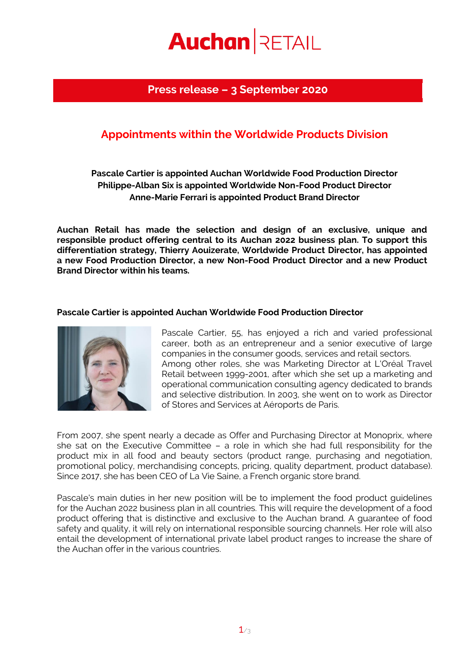# **Auchan RETAIL**

## **Press release – 3 September 2020**

## **Appointments within the Worldwide Products Division**

### **Pascale Cartier is appointed Auchan Worldwide Food Production Director Philippe-Alban Six is appointed Worldwide Non-Food Product Director Anne-Marie Ferrari is appointed Product Brand Director**

**Auchan Retail has made the selection and design of an exclusive, unique and responsible product offering central to its Auchan 2022 business plan. To support this differentiation strategy, Thierry Aouizerate, Worldwide Product Director, has appointed a new Food Production Director, a new Non-Food Product Director and a new Product Brand Director within his teams.**

#### **Pascale Cartier is appointed Auchan Worldwide Food Production Director**



Pascale Cartier, 55, has enjoyed a rich and varied professional career, both as an entrepreneur and a senior executive of large companies in the consumer goods, services and retail sectors. Among other roles, she was Marketing Director at L'Oréal Travel Retail between 1999-2001, after which she set up a marketing and operational communication consulting agency dedicated to brands and selective distribution. In 2003, she went on to work as Director of Stores and Services at Aéroports de Paris.

From 2007, she spent nearly a decade as Offer and Purchasing Director at Monoprix, where she sat on the Executive Committee – a role in which she had full responsibility for the product mix in all food and beauty sectors (product range, purchasing and negotiation, promotional policy, merchandising concepts, pricing, quality department, product database). Since 2017, she has been CEO of La Vie Saine, a French organic store brand.

Pascale's main duties in her new position will be to implement the food product guidelines for the Auchan 2022 business plan in all countries. This will require the development of a food product offering that is distinctive and exclusive to the Auchan brand. A guarantee of food safety and quality, it will rely on international responsible sourcing channels. Her role will also entail the development of international private label product ranges to increase the share of the Auchan offer in the various countries.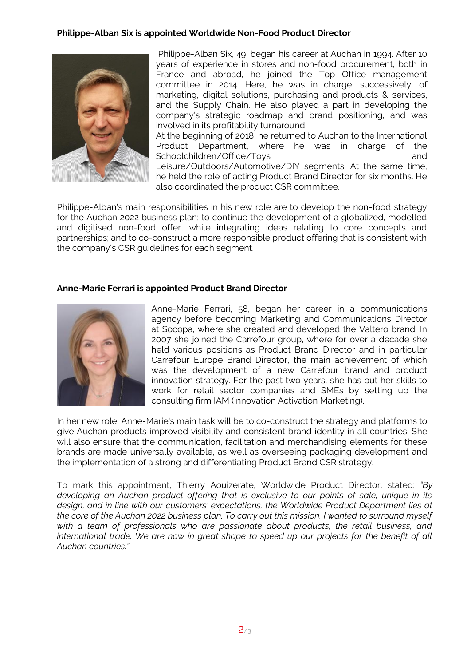#### **Philippe-Alban Six is appointed Worldwide Non-Food Product Director**



Philippe-Alban Six, 49, began his career at Auchan in 1994. After 10 years of experience in stores and non-food procurement, both in France and abroad, he joined the Top Office management committee in 2014. Here, he was in charge, successively, of marketing, digital solutions, purchasing and products & services, and the Supply Chain. He also played a part in developing the company's strategic roadmap and brand positioning, and was involved in its profitability turnaround.

At the beginning of 2018, he returned to Auchan to the International Product Department, where he was in charge of the Schoolchildren/Office/Toys and and Leisure/Outdoors/Automotive/DIY segments. At the same time, he held the role of acting Product Brand Director for six months. He also coordinated the product CSR committee.

Philippe-Alban's main responsibilities in his new role are to develop the non-food strategy for the Auchan 2022 business plan; to continue the development of a globalized, modelled and digitised non-food offer, while integrating ideas relating to core concepts and partnerships; and to co-construct a more responsible product offering that is consistent with the company's CSR guidelines for each segment.

#### **Anne-Marie Ferrari is appointed Product Brand Director**



Anne-Marie Ferrari, 58, began her career in a communications agency before becoming Marketing and Communications Director at Socopa, where she created and developed the Valtero brand. In 2007 she joined the Carrefour group, where for over a decade she held various positions as Product Brand Director and in particular Carrefour Europe Brand Director, the main achievement of which was the development of a new Carrefour brand and product innovation strategy. For the past two years, she has put her skills to work for retail sector companies and SMEs by setting up the consulting firm IAM (Innovation Activation Marketing).

In her new role, Anne-Marie's main task will be to co-construct the strategy and platforms to give Auchan products improved visibility and consistent brand identity in all countries. She will also ensure that the communication, facilitation and merchandising elements for these brands are made universally available, as well as overseeing packaging development and the implementation of a strong and differentiating Product Brand CSR strategy.

To mark this appointment, Thierry Aouizerate, Worldwide Product Director, stated: *"By developing an Auchan product offering that is exclusive to our points of sale, unique in its design, and in line with our customers' expectations, the Worldwide Product Department lies at the core of the Auchan 2022 business plan. To carry out this mission, I wanted to surround myself with a team of professionals who are passionate about products, the retail business, and international trade. We are now in great shape to speed up our projects for the benefit of all Auchan countries."*